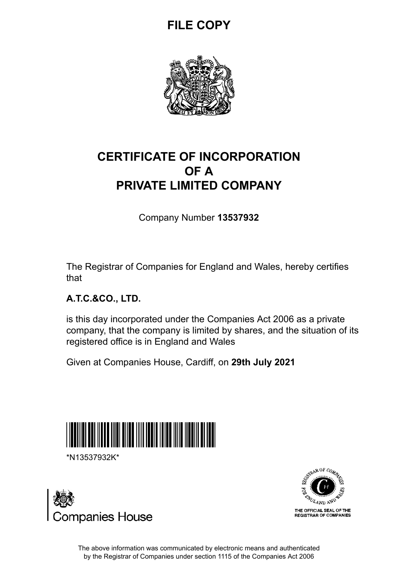# **FILE COPY**



## **CERTIFICATE OF INCORPORATION OF A PRIVATE LIMITED COMPANY**

Company Number **13537932**

The Registrar of Companies for England and Wales, hereby certifies that

## **A.T.C.&CO., LTD.**

is this day incorporated under the Companies Act 2006 as a private company, that the company is limited by shares, and the situation of its registered office is in England and Wales

Given at Companies House, Cardiff, on **29th July 2021**



\*N13537932K\*





The above information was communicated by electronic means and authenticated by the Registrar of Companies under section 1115 of the Companies Act 2006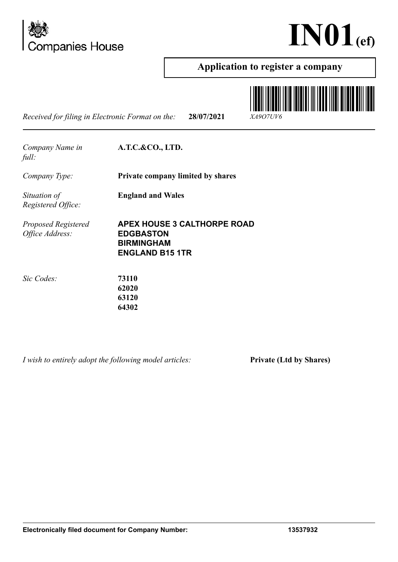



### **Application to register a company**

*Received for filing in Electronic Format on the:* **28/07/2021** *XA9O7UV6*



*Company Name in full:*

**A.T.C.&CO., LTD.**

**England and Wales**

*Company Type:* **Private company limited by shares**

*Situation of Registered Office:*

*Proposed Registered Office Address:*

**APEX HOUSE 3 CALTHORPE ROAD EDGBASTON BIRMINGHAM ENGLAND B15 1TR**

*Sic Codes:* **73110**

**62020 63120 64302**

*I wish to entirely adopt the following model articles:* **Private (Ltd by Shares)**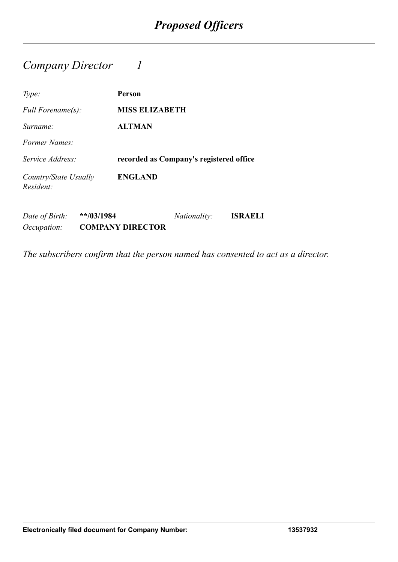## *Company Director 1*

| Type:                              | Person                                  |
|------------------------------------|-----------------------------------------|
| <i>Full Forename(s):</i>           | <b>MISS ELIZABETH</b>                   |
| Surname:                           | <b>ALTMAN</b>                           |
| Former Names:                      |                                         |
| Service Address:                   | recorded as Company's registered office |
| Country/State Usually<br>Resident: | <b>ENGLAND</b>                          |

*Date of Birth:* **\*\*/03/1984** *Nationality:* **ISRAELI** *Occupation:* **COMPANY DIRECTOR**

*The subscribers confirm that the person named has consented to act as a director.*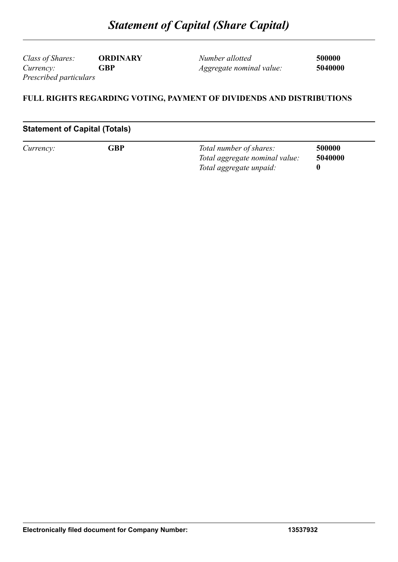*Class of Shares:* **ORDINARY** *Currency:* **GBP** *Prescribed particulars*

*Number allotted* **500000** *Aggregate nominal value:* **5040000**

#### **FULL RIGHTS REGARDING VOTING, PAYMENT OF DIVIDENDS AND DISTRIBUTIONS**

#### **Statement of Capital (Totals)**

| Currency: | GBP | Total number of shares:        | 500000  |
|-----------|-----|--------------------------------|---------|
|           |     | Total aggregate nominal value: | 5040000 |
|           |     | Total aggregate unpaid:        |         |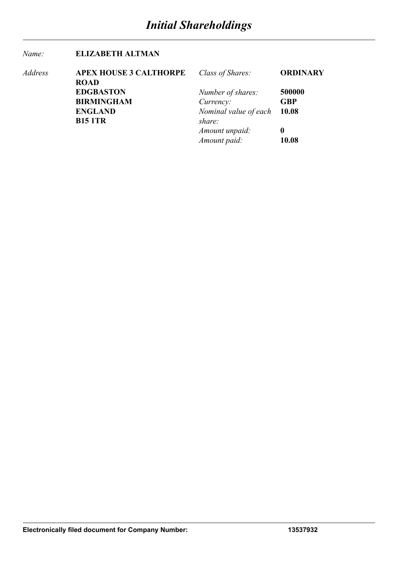#### *Name:* **ELIZABETH ALTMAN**

| Address | <b>APEX HOUSE 3 CALTHORPE</b> | Class of Shares:      | <b>ORDINARY</b> |
|---------|-------------------------------|-----------------------|-----------------|
|         | <b>ROAD</b>                   |                       |                 |
|         | <b>EDGBASTON</b>              | Number of shares:     | 500000          |
|         | <b>BIRMINGHAM</b>             | Currency:             | <b>GBP</b>      |
|         | <b>ENGLAND</b>                | Nominal value of each | 10.08           |
|         | <b>B15 1TR</b>                | share:                |                 |
|         |                               | Amount unpaid:        | $\mathbf 0$     |
|         |                               | Amount paid:          | 10.08           |
|         |                               |                       |                 |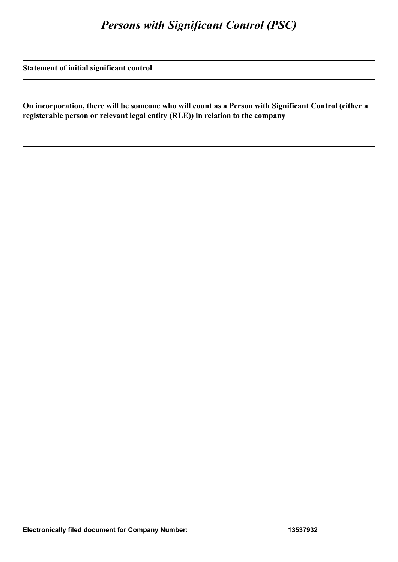**Statement of initial significant control**

**On incorporation, there will be someone who will count as a Person with Significant Control (either a registerable person or relevant legal entity (RLE)) in relation to the company**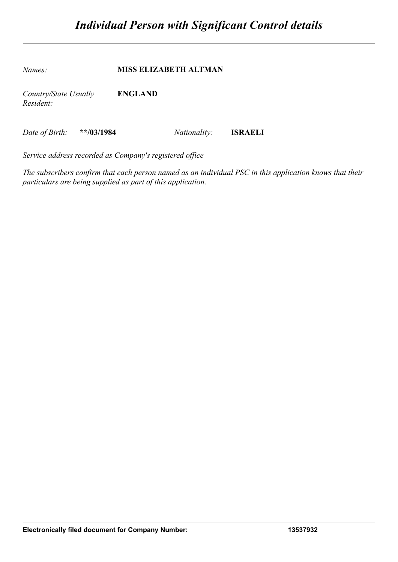*Names:* **MISS ELIZABETH ALTMAN** *Country/State Usually Resident:* **ENGLAND**

*Date of Birth:* **\*\*/03/1984** *Nationality:* **ISRAELI**

*Service address recorded as Company's registered office*

*The subscribers confirm that each person named as an individual PSC in this application knows that their particulars are being supplied as part of this application.*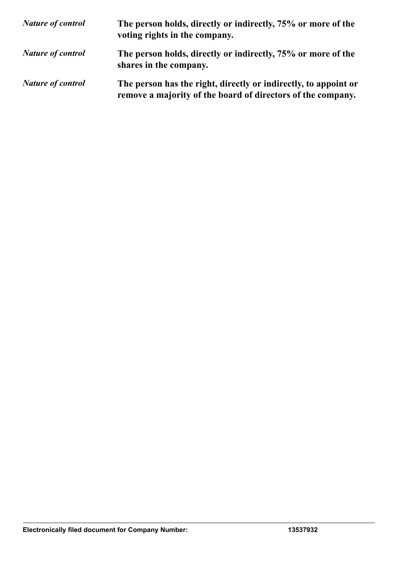| <b>Nature of control</b> | The person holds, directly or indirectly, 75% or more of the<br>voting rights in the company.                                  |
|--------------------------|--------------------------------------------------------------------------------------------------------------------------------|
| <b>Nature of control</b> | The person holds, directly or indirectly, 75% or more of the<br>shares in the company.                                         |
| <b>Nature of control</b> | The person has the right, directly or indirectly, to appoint or<br>remove a majority of the board of directors of the company. |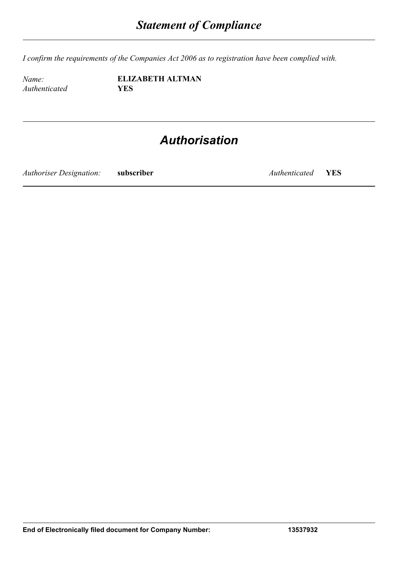*I confirm the requirements of the Companies Act 2006 as to registration have been complied with.*

*Authenticated* **YES**

*Name:* **ELIZABETH ALTMAN**

# *Authorisation*

*Authoriser Designation:* **subscriber** *Authenticated* **YES**